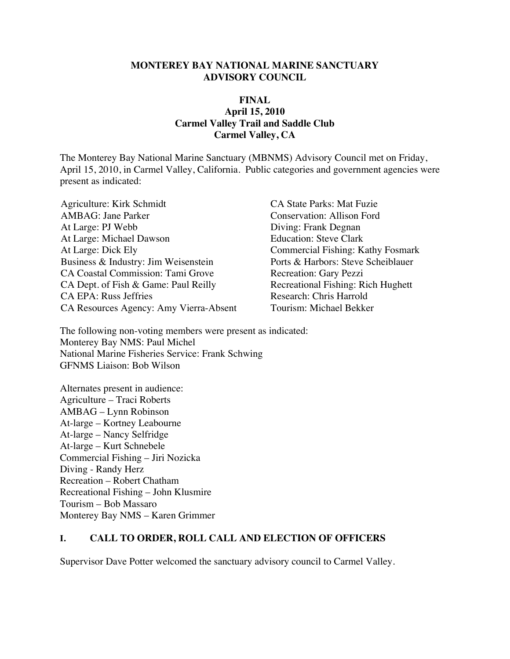#### **MONTEREY BAY NATIONAL MARINE SANCTUARY ADVISORY COUNCIL**

#### **FINAL April 15, 2010 Carmel Valley Trail and Saddle Club Carmel Valley, CA**

The Monterey Bay National Marine Sanctuary (MBNMS) Advisory Council met on Friday, April 15, 2010, in Carmel Valley, California. Public categories and government agencies were present as indicated:

Agriculture: Kirk Schmidt CA State Parks: Mat Fuzie AMBAG: Jane Parker Conservation: Allison Ford At Large: PJ Webb Diving: Frank Degnan At Large: Michael Dawson Education: Steve Clark At Large: Dick Ely Commercial Fishing: Kathy Fosmark Business & Industry: Jim Weisenstein Ports & Harbors: Steve Scheiblauer CA Coastal Commission: Tami Grove Recreation: Gary Pezzi CA Dept. of Fish & Game: Paul Reilly Recreational Fishing: Rich Hughett CA EPA: Russ Jeffries<br>
CA Resources Agency: Amy Vierra-Absent<br>
Tourism: Michael Bekker CA Resources Agency: Amy Vierra-Absent

The following non-voting members were present as indicated: Monterey Bay NMS: Paul Michel National Marine Fisheries Service: Frank Schwing GFNMS Liaison: Bob Wilson

Alternates present in audience: Agriculture – Traci Roberts AMBAG – Lynn Robinson At-large – Kortney Leabourne At-large – Nancy Selfridge At-large – Kurt Schnebele Commercial Fishing – Jiri Nozicka Diving - Randy Herz Recreation – Robert Chatham Recreational Fishing – John Klusmire Tourism – Bob Massaro Monterey Bay NMS – Karen Grimmer

#### **I. CALL TO ORDER, ROLL CALL AND ELECTION OF OFFICERS**

Supervisor Dave Potter welcomed the sanctuary advisory council to Carmel Valley.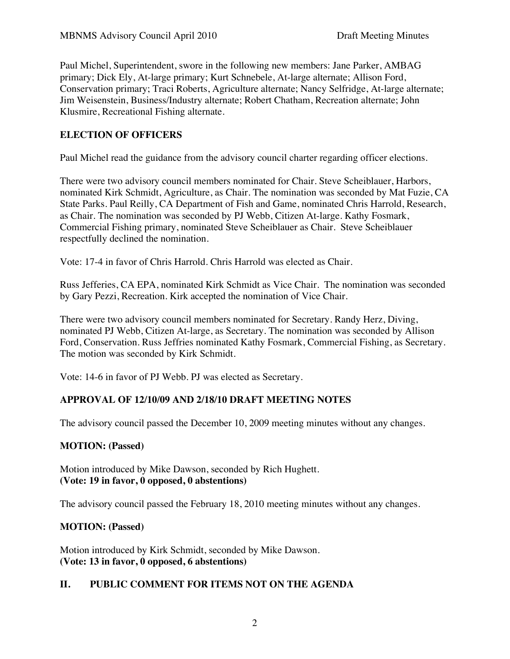Paul Michel, Superintendent, swore in the following new members: Jane Parker, AMBAG primary; Dick Ely, At-large primary; Kurt Schnebele, At-large alternate; Allison Ford, Conservation primary; Traci Roberts, Agriculture alternate; Nancy Selfridge, At-large alternate; Jim Weisenstein, Business/Industry alternate; Robert Chatham, Recreation alternate; John Klusmire, Recreational Fishing alternate.

### **ELECTION OF OFFICERS**

Paul Michel read the guidance from the advisory council charter regarding officer elections.

There were two advisory council members nominated for Chair. Steve Scheiblauer, Harbors, nominated Kirk Schmidt, Agriculture, as Chair. The nomination was seconded by Mat Fuzie, CA State Parks. Paul Reilly, CA Department of Fish and Game, nominated Chris Harrold, Research, as Chair. The nomination was seconded by PJ Webb, Citizen At-large. Kathy Fosmark, Commercial Fishing primary, nominated Steve Scheiblauer as Chair. Steve Scheiblauer respectfully declined the nomination.

Vote: 17-4 in favor of Chris Harrold. Chris Harrold was elected as Chair.

Russ Jefferies, CA EPA, nominated Kirk Schmidt as Vice Chair. The nomination was seconded by Gary Pezzi, Recreation. Kirk accepted the nomination of Vice Chair.

There were two advisory council members nominated for Secretary. Randy Herz, Diving, nominated PJ Webb, Citizen At-large, as Secretary. The nomination was seconded by Allison Ford, Conservation. Russ Jeffries nominated Kathy Fosmark, Commercial Fishing, as Secretary. The motion was seconded by Kirk Schmidt.

Vote: 14-6 in favor of PJ Webb. PJ was elected as Secretary.

#### **APPROVAL OF 12/10/09 AND 2/18/10 DRAFT MEETING NOTES**

The advisory council passed the December 10, 2009 meeting minutes without any changes.

#### **MOTION: (Passed)**

Motion introduced by Mike Dawson, seconded by Rich Hughett. **(Vote: 19 in favor, 0 opposed, 0 abstentions)**

The advisory council passed the February 18, 2010 meeting minutes without any changes.

#### **MOTION: (Passed)**

Motion introduced by Kirk Schmidt, seconded by Mike Dawson. **(Vote: 13 in favor, 0 opposed, 6 abstentions)**

#### **II. PUBLIC COMMENT FOR ITEMS NOT ON THE AGENDA**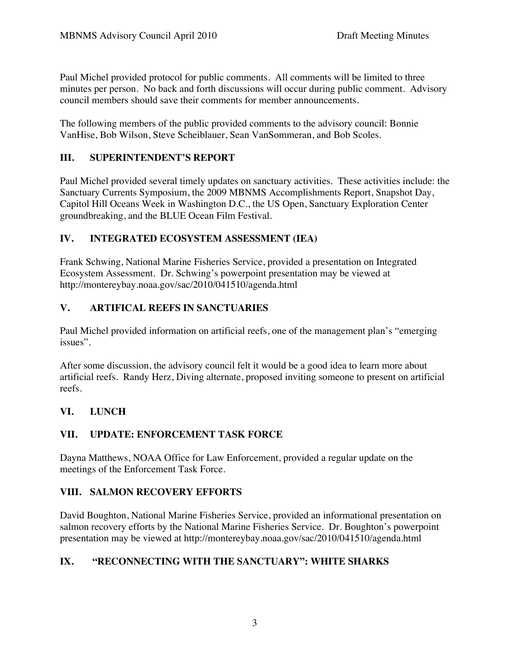Paul Michel provided protocol for public comments. All comments will be limited to three minutes per person. No back and forth discussions will occur during public comment. Advisory council members should save their comments for member announcements.

The following members of the public provided comments to the advisory council: Bonnie VanHise, Bob Wilson, Steve Scheiblauer, Sean VanSommeran, and Bob Scoles.

# **III. SUPERINTENDENT'S REPORT**

Paul Michel provided several timely updates on sanctuary activities. These activities include: the Sanctuary Currents Symposium, the 2009 MBNMS Accomplishments Report, Snapshot Day, Capitol Hill Oceans Week in Washington D.C., the US Open, Sanctuary Exploration Center groundbreaking, and the BLUE Ocean Film Festival.

# **IV. INTEGRATED ECOSYSTEM ASSESSMENT (IEA)**

Frank Schwing, National Marine Fisheries Service, provided a presentation on Integrated Ecosystem Assessment. Dr. Schwing's powerpoint presentation may be viewed at http://montereybay.noaa.gov/sac/2010/041510/agenda.html

# **V. ARTIFICAL REEFS IN SANCTUARIES**

Paul Michel provided information on artificial reefs, one of the management plan's "emerging issues".

After some discussion, the advisory council felt it would be a good idea to learn more about artificial reefs. Randy Herz, Diving alternate, proposed inviting someone to present on artificial reefs.

### **VI. LUNCH**

### **VII. UPDATE: ENFORCEMENT TASK FORCE**

Dayna Matthews, NOAA Office for Law Enforcement, provided a regular update on the meetings of the Enforcement Task Force.

### **VIII. SALMON RECOVERY EFFORTS**

David Boughton, National Marine Fisheries Service, provided an informational presentation on salmon recovery efforts by the National Marine Fisheries Service. Dr. Boughton's powerpoint presentation may be viewed at http://montereybay.noaa.gov/sac/2010/041510/agenda.html

# **IX. "RECONNECTING WITH THE SANCTUARY": WHITE SHARKS**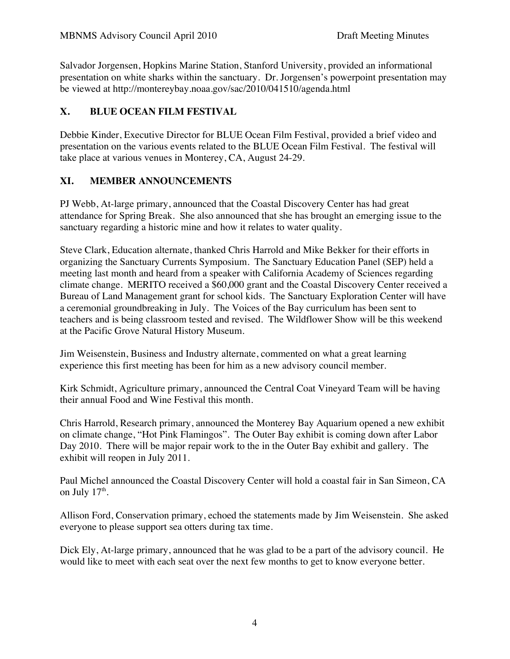Salvador Jorgensen, Hopkins Marine Station, Stanford University, provided an informational presentation on white sharks within the sanctuary. Dr. Jorgensen's powerpoint presentation may be viewed at http://montereybay.noaa.gov/sac/2010/041510/agenda.html

# **X. BLUE OCEAN FILM FESTIVAL**

Debbie Kinder, Executive Director for BLUE Ocean Film Festival, provided a brief video and presentation on the various events related to the BLUE Ocean Film Festival. The festival will take place at various venues in Monterey, CA, August 24-29.

### **XI. MEMBER ANNOUNCEMENTS**

PJ Webb, At-large primary, announced that the Coastal Discovery Center has had great attendance for Spring Break. She also announced that she has brought an emerging issue to the sanctuary regarding a historic mine and how it relates to water quality.

Steve Clark, Education alternate, thanked Chris Harrold and Mike Bekker for their efforts in organizing the Sanctuary Currents Symposium. The Sanctuary Education Panel (SEP) held a meeting last month and heard from a speaker with California Academy of Sciences regarding climate change. MERITO received a \$60,000 grant and the Coastal Discovery Center received a Bureau of Land Management grant for school kids. The Sanctuary Exploration Center will have a ceremonial groundbreaking in July. The Voices of the Bay curriculum has been sent to teachers and is being classroom tested and revised. The Wildflower Show will be this weekend at the Pacific Grove Natural History Museum.

Jim Weisenstein, Business and Industry alternate, commented on what a great learning experience this first meeting has been for him as a new advisory council member.

Kirk Schmidt, Agriculture primary, announced the Central Coat Vineyard Team will be having their annual Food and Wine Festival this month.

Chris Harrold, Research primary, announced the Monterey Bay Aquarium opened a new exhibit on climate change, "Hot Pink Flamingos". The Outer Bay exhibit is coming down after Labor Day 2010. There will be major repair work to the in the Outer Bay exhibit and gallery. The exhibit will reopen in July 2011.

Paul Michel announced the Coastal Discovery Center will hold a coastal fair in San Simeon, CA on July  $17<sup>th</sup>$ .

Allison Ford, Conservation primary, echoed the statements made by Jim Weisenstein. She asked everyone to please support sea otters during tax time.

Dick Ely, At-large primary, announced that he was glad to be a part of the advisory council. He would like to meet with each seat over the next few months to get to know everyone better.